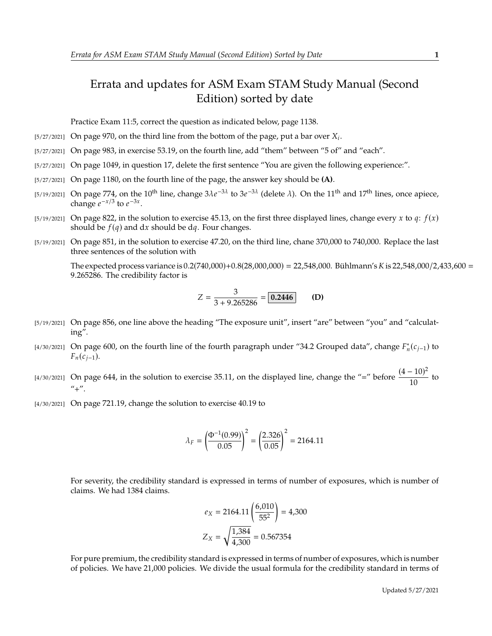## Errata and updates for ASM Exam STAM Study Manual (Second Edition) sorted by date

Practice Exam 11:5, correct the question as indicated below, page 1138.

- [5/27/2021] On page 970, on the third line from the bottom of the page, put a bar over  $X_i$ .
- [5/27/2021] On page 983, in exercise 53.19, on the fourth line, add "them" between "5 of" and "each".
- [5/27/2021] On page 1049, in question 17, delete the first sentence "You are given the following experience:".
- [5/27/2021] On page 1180, on the fourth line of the page, the answer key should be **(A)**.
- [5/19/2021] On page 774, on the 10<sup>th</sup> line, change  $3\lambda e^{-3\lambda}$  to  $3e^{-3\lambda}$  (delete  $\lambda$ ). On the 11<sup>th</sup> and 17<sup>th</sup> lines, once apiece, change  $e^{-x/3}$  to  $e^{-3x}$ change  $e^{-x/3}$  to  $e^{-3x}$ .
- [5/19/2021] On page 822, in the solution to exercise 45.13, on the first three displayed lines, change every x to  $q$ :  $f(x)$ should be  $f(q)$  and dx should be dq. Four changes.
- [5/19/2021] On page 851, in the solution to exercise 47.20, on the third line, chane 370,000 to 740,000. Replace the last three sentences of the solution with

The expected process variance is  $0.2(740,000)+0.8(28,000,000) = 22,548,000$ . Bühlmann's K is 22,548,000/2,433,600 = <sup>9</sup>.265286. The credibility factor is

$$
Z = \frac{3}{3 + 9.265286} = \boxed{0.2446}
$$
 (D)

- [5/19/2021] On page 856, one line above the heading "The exposure unit", insert "are" between "you" and "calculating".
- [4/30/2021] On page 600, on the fourth line of the fourth paragraph under "34.2 Grouped data", change  $F_n^*(c_{j-1})$  to  $F_n(c_{j-1}).$
- [4/30/2021] On page 644, in the solution to exercise 35.11, on the displayed line, change the "=" before  $\frac{(4-10)^2}{10}$  $\frac{1}{10}$  to  $" +"$ .
- [4/30/2021] On page 721.19, change the solution to exercise 40.19 to

$$
\lambda_F = \left(\frac{\Phi^{-1}(0.99)}{0.05}\right)^2 = \left(\frac{2.326}{0.05}\right)^2 = 2164.11
$$

For severity, the credibility standard is expressed in terms of number of exposures, which is number of claims. We had 1384 claims.

$$
e_X = 2164.11 \left( \frac{6,010}{55^2} \right) = 4,300
$$

$$
Z_X = \sqrt{\frac{1,384}{4,300}} = 0.567354
$$

For pure premium, the credibility standard is expressed in terms of number of exposures, which is number of policies. We have 21,000 policies. We divide the usual formula for the credibility standard in terms of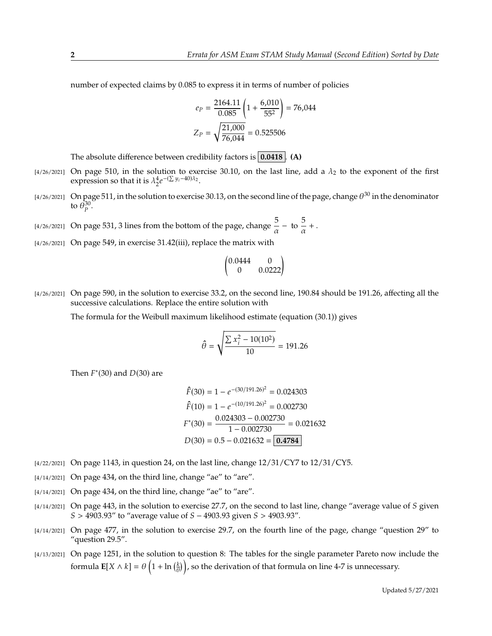number of expected claims by 0.085 to express it in terms of number of policies

$$
e_P = \frac{2164.11}{0.085} \left( 1 + \frac{6,010}{55^2} \right) = 76,044
$$

$$
Z_P = \sqrt{\frac{21,000}{76,044}} = 0.525506
$$

The absolute difference between credibility factors is **0.0418** . **(A)**

- [4/26/2021] On page 510, in the solution to exercise 30.10, on the last line, add a  $\lambda_2$  to the exponent of the first expression so that it is  $\lambda_2^4 e$  $-(\sum y_i - 40)\lambda_2$ .
- [4/26/2021] On page 511, in the solution to exercise 30.13, on the second line of the page, change  $\theta^{30}$  in the denominator to  $\bar{\theta}_p^{30}$ .
- [4/26/2021] On page 531, 3 lines from the bottom of the page, change  $\frac{5}{\alpha}$  to  $\frac{5}{\alpha}$  $\frac{\partial}{\partial x} +$ .
- [4/26/2021] On page 549, in exercise 31.42(iii), replace the matrix with

$$
\begin{pmatrix} 0.0444 & 0 \\ 0 & 0.0222 \end{pmatrix}
$$

[4/26/2021] On page 590, in the solution to exercise 33.2, on the second line, 190.84 should be 191.26, affecting all the successive calculations. Replace the entire solution with

The formula for the Weibull maximum likelihood estimate (equation (30.1)) gives

$$
\hat{\theta} = \sqrt{\frac{\sum x_i^2 - 10(10^2)}{10}} = 191.26
$$

Then  $F^*(30)$  and  $D(30)$  are

$$
\hat{F}(30) = 1 - e^{-(30/191.26)^2} = 0.024303
$$
  

$$
\hat{F}(10) = 1 - e^{-(10/191.26)^2} = 0.002730
$$
  

$$
F^*(30) = \frac{0.024303 - 0.002730}{1 - 0.002730} = 0.021632
$$
  

$$
D(30) = 0.5 - 0.021632 = \boxed{0.4784}
$$

- [4/22/2021] On page 1143, in question 24, on the last line, change 12/31/CY7 to 12/31/CY5.
- [4/14/2021] On page 434, on the third line, change "ae" to "are".
- [4/14/2021] On page 434, on the third line, change "ae" to "are".
- $[4/14/2021]$  On page 443, in the solution to exercise 27.7, on the second to last line, change "average value of S given  $S > 4903.93''$  to "average value of  $S - 4903.93$  given  $S > 4903.93''$ .
- [4/14/2021] On page 477, in the solution to exercise 29.7, on the fourth line of the page, change "question 29" to "question 29.5".
- [4/13/2021] On page 1251, in the solution to question 8: The tables for the single parameter Pareto now include the formula  $\mathbf{E}[X \wedge k] = \theta\left(1 + \ln\left(\frac{k}{\theta}\right)\right)$ , so the derivation of that formula on line 4-7 is unnecessary.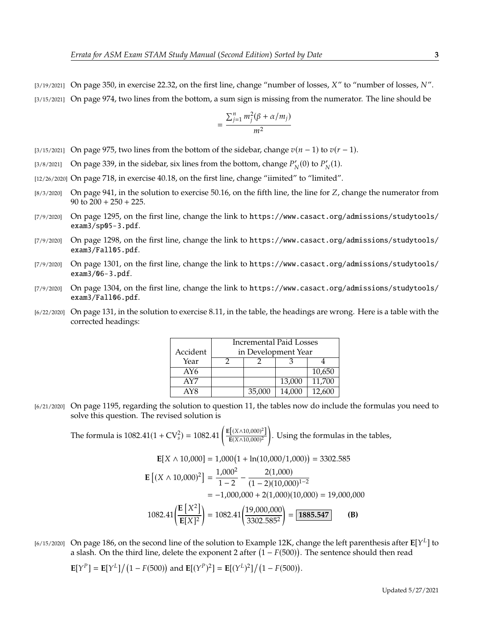$[3/19/2021]$  On page 350, in exercise 22.32, on the first line, change "number of losses, X" to "number of losses, N". [3/15/2021] On page 974, two lines from the bottom, a sum sign is missing from the numerator. The line should be

$$
=\frac{\sum_{j=1}^{n}m_j^2(\beta+\alpha/m_j)}{m^2}
$$

- [3/15/2021] On page 975, two lines from the bottom of the sidebar, change  $v(n-1)$  to  $v(r-1)$ .
- [3/8/2021] On page 339, in the sidebar, six lines from the bottom, change  $P'_N(0)$  to  $P'_N(1)$ .
- [12/26/2020] On page 718, in exercise 40.18, on the first line, change "iimited" to "limited".
- $[8/3/2020]$  On page 941, in the solution to exercise 50.16, on the fifth line, the line for Z, change the numerator from 90 to  $200 + 250 + 225$ .
- [7/9/2020] On page 1295, on the first line, change the link to https://www.casact.org/admissions/studytools/ exam3/sp05-3.pdf.
- [7/9/2020] On page 1298, on the first line, change the link to https://www.casact.org/admissions/studytools/ exam3/Fall05.pdf.
- [7/9/2020] On page 1301, on the first line, change the link to https://www.casact.org/admissions/studytools/ exam3/06-3.pdf.
- [7/9/2020] On page 1304, on the first line, change the link to https://www.casact.org/admissions/studytools/ exam3/Fall06.pdf.
- [6/22/2020] On page 131, in the solution to exercise 8.11, in the table, the headings are wrong. Here is a table with the corrected headings:

|          | <b>Incremental Paid Losses</b> |        |        |        |
|----------|--------------------------------|--------|--------|--------|
| Accident | in Development Year            |        |        |        |
| Year     |                                |        |        |        |
| AY6      |                                |        |        | 10,650 |
| AY7      |                                |        | 13,000 | 11,700 |
| AY8      |                                | 35,000 | 14.000 | 12.600 |

[6/21/2020] On page 1195, regarding the solution to question 11, the tables now do include the formulas you need to solve this question. The revised solution is

The formula is  $1082.41(1 + CV_s^2) = 1082.41 \left( \frac{E[(X \land 10,000)^2]}{E(X \land 10,000)^2} \right)$  $E(X \wedge 10,000)^2$ . Using the formulas in the tables,

$$
\mathbf{E}[X \wedge 10,000] = 1,000(1 + \ln(10,000/1,000)) = 3302.585
$$
  
\n
$$
\mathbf{E}[(X \wedge 10,000)^2] = \frac{1,000^2}{1-2} - \frac{2(1,000)}{(1-2)(10,000)^{1-2}}
$$
  
\n
$$
= -1,000,000 + 2(1,000)(10,000) = 19,000,000
$$
  
\n
$$
1082.41\left(\frac{\mathbf{E}[X^2]}{\mathbf{E}[X]^2}\right) = 1082.41\left(\frac{19,000,000}{3302.585^2}\right) = \boxed{1885.547}
$$
 (B)

[6/15/2020] On page 186, on the second line of the solution to Example 12K, change the left parenthesis after  $\mathbb{E}[Y^L]$  to a slash. On the third line, delete the exponent 2 after  $(1 - E(500))$ . The sentence should then r a slash. On the third line, delete the exponent 2 after  $(1 - F(500))$ . The sentence should then read

$$
\mathbf{E}[Y^P] = \mathbf{E}[Y^L]/(1 - F(500)) \text{ and } \mathbf{E}[(Y^P)^2] = \mathbf{E}[(Y^L)^2]/(1 - F(500)).
$$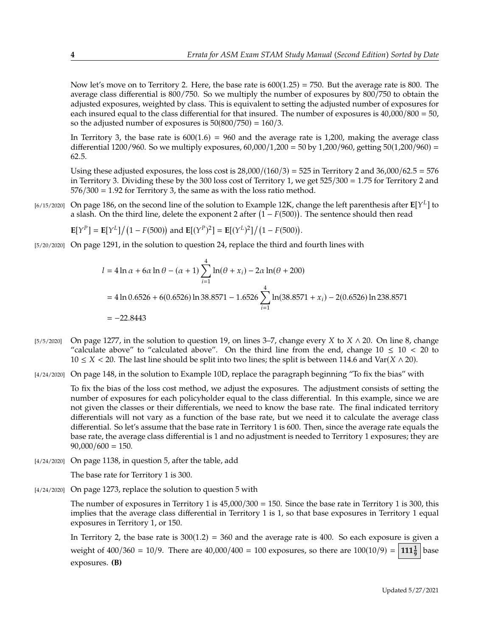Now let's move on to Territory 2. Here, the base rate is  $600(1.25) = 750$ . But the average rate is 800. The average class differential is 800/750. So we multiply the number of exposures by 800/750 to obtain the adjusted exposures, weighted by class. This is equivalent to setting the adjusted number of exposures for each insured equal to the class differential for that insured. The number of exposures is  $40,000/800 = 50$ , so the adjusted number of exposures is  $50(800/750) = 160/3$ .

In Territory 3, the base rate is  $600(1.6) = 960$  and the average rate is 1,200, making the average class differential 1200/960. So we multiply exposures,  $60,000/1,200 = 50$  by 1,200/960, getting  $50(1,200/960) =$ <sup>62</sup>.5.

Using these adjusted exposures, the loss cost is  $28,000/(160/3) = 525$  in Territory 2 and  $36,000/62.5 = 576$ in Territory 3. Dividing these by the 300 loss cost of Territory 1, we get <sup>525</sup>/<sup>300</sup> <sup>=</sup> <sup>1</sup>.<sup>75</sup> for Territory 2 and  $576/300 = 1.92$  for Territory 3, the same as with the loss ratio method.

[6/15/2020] On page 186, on the second line of the solution to Example 12K, change the left parenthesis after  $\mathbb{E}[Y^L]$  to a slash. On the third line, delete the exponent 2 after  $(1 - E(500))$ . The sentence should then r a slash. On the third line, delete the exponent 2 after  $(1 - F(500))$ . The sentence should then read

$$
\mathbf{E}[Y^P] = \mathbf{E}[Y^L]/(1 - F(500)) \text{ and } \mathbf{E}[(Y^P)^2] = \mathbf{E}[(Y^L)^2]/(1 - F(500)).
$$

[5/20/2020] On page 1291, in the solution to question 24, replace the third and fourth lines with

$$
l = 4 \ln \alpha + 6\alpha \ln \theta - (\alpha + 1) \sum_{i=1}^{4} \ln(\theta + x_i) - 2\alpha \ln(\theta + 200)
$$
  
= 4 \ln 0.6526 + 6(0.6526) \ln 38.8571 - 1.6526  $\sum_{i=1}^{4} \ln(38.8571 + x_i) - 2(0.6526) \ln 238.8571$   
= -22.8443

- [5/5/2020] On page 1277, in the solution to question 19, on lines 3–7, change every X to  $X \wedge 20$ . On line 8, change "calculate above" to "calculated above". On the third line from the end, change  $10 \le 10 \le 20$  to  $10 \le X < 20$ . The last line should be split into two lines; the split is between 114.6 and Var( $X \wedge 20$ ).
- [4/24/2020] On page 148, in the solution to Example 10D, replace the paragraph beginning "To fix the bias" with

To fix the bias of the loss cost method, we adjust the exposures. The adjustment consists of setting the number of exposures for each policyholder equal to the class differential. In this example, since we are not given the classes or their differentials, we need to know the base rate. The final indicated territory differentials will not vary as a function of the base rate, but we need it to calculate the average class differential. So let's assume that the base rate in Territory 1 is 600. Then, since the average rate equals the base rate, the average class differential is 1 and no adjustment is needed to Territory 1 exposures; they are  $90,000/600 = 150.$ 

[4/24/2020] On page 1138, in question 5, after the table, add

The base rate for Territory 1 is 300.

[4/24/2020] On page 1273, replace the solution to question 5 with

The number of exposures in Territory 1 is  $45,000/300 = 150$ . Since the base rate in Territory 1 is 300, this implies that the average class differential in Territory 1 is 1, so that base exposures in Territory 1 equal exposures in Territory 1, or 150.

In Territory 2, the base rate is  $300(1.2) = 360$  and the average rate is 400. So each exposure is given a weight of  $400/360 = 10/9$ . There are  $40,000/400 = 100$  exposures, so there are  $100(10/9) = 111\frac{1}{9}$  base exposures. **(B)**